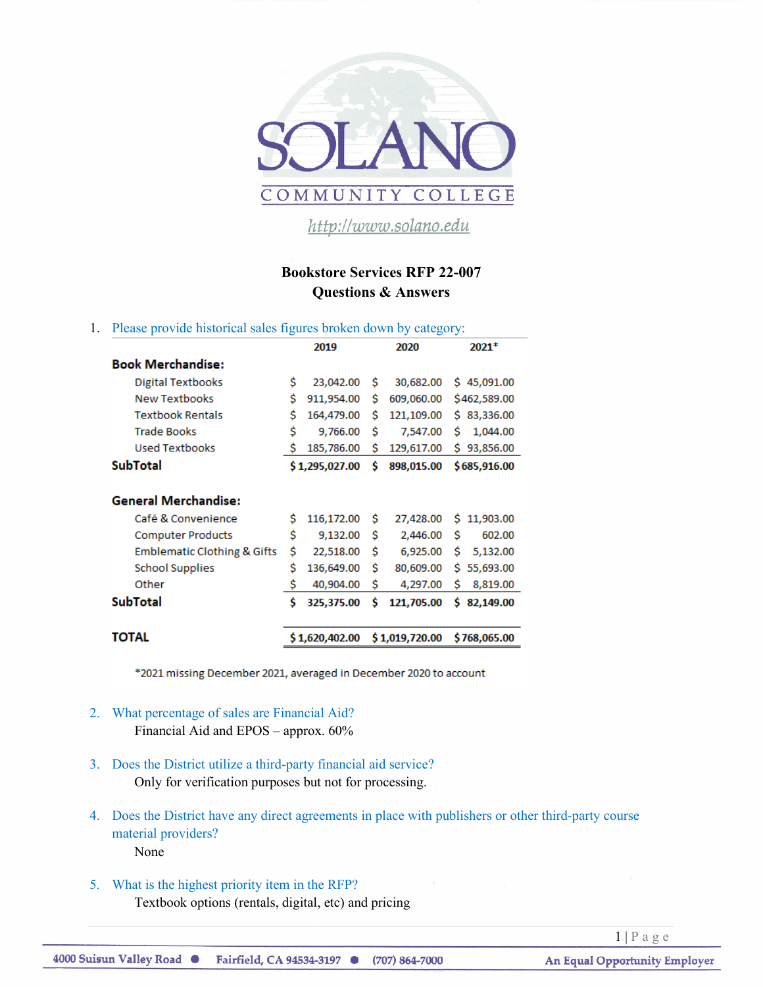

http://www.solano.edu

## **Bookstore Services RFP 22-007 Questions & Answers**

## 1. Please provide historical sales figures broken down by category:

|                                        |                | 2019           |    | 2020           | $2021*$         |
|----------------------------------------|----------------|----------------|----|----------------|-----------------|
| <b>Book Merchandise:</b>               |                |                |    |                |                 |
| <b>Digital Textbooks</b>               | \$             | 23,042.00      | Ŝ  | 30,682.00      | \$45,091.00     |
| <b>New Textbooks</b>                   | Ś              | 911,954.00     | Ś  | 609,060.00     | \$462,589.00    |
| <b>Textbook Rentals</b>                | \$             | 164,479.00     | Ś  | 121,109.00     | \$83,336.00     |
| <b>Trade Books</b>                     | \$             | 9,766.00       | Ś  | 7,547.00       | 1,044.00<br>Ś   |
| <b>Used Textbooks</b>                  | Ś              | 185,786.00     | Ś  | 129,617.00     | 93,856.00<br>s  |
| <b>SubTotal</b>                        | \$1,295,027.00 |                | Ś  | 898,015.00     | \$685,916.00    |
| <b>General Merchandise:</b>            |                |                |    |                |                 |
| Café & Convenience                     | Ś              | 116,172.00     | Ś  | 27,428.00      | Ś<br>11,903.00  |
| <b>Computer Products</b>               | \$             | 9,132.00       | Ś  | 2,446.00       | Ś<br>602.00     |
| <b>Emblematic Clothing &amp; Gifts</b> | \$             | 22,518.00      | \$ | 6,925.00       | Ś<br>5,132.00   |
| <b>School Supplies</b>                 | Ś              | 136,649.00     | Ś  | 80,609.00      | Ŝ.<br>55,693.00 |
| Other                                  | \$             | 40,904.00      | Ś  | 4,297.00       | Ś<br>8,819.00   |
| <b>SubTotal</b>                        | Ś              | 325,375.00     | Ś  | 121,705.00     | Ś<br>82,149.00  |
| TOTAL                                  |                | \$1,620,402.00 |    | \$1,019,720.00 | \$768,065.00    |

\*2021 missing December 2021, averaged in December 2020 to account

- 2. What percentage of sales are Financial Aid? Financial Aid and EPOS – approx. 60%
- 3. Does the District utilize a third-party financial aid service? Only for verification purposes but not for processing.
- 4. Does the District have any direct agreements in place with publishers or other third-party course material providers? None
- 5. What is the highest priority item in the RFP? Textbook options (rentals, digital, etc) and pricing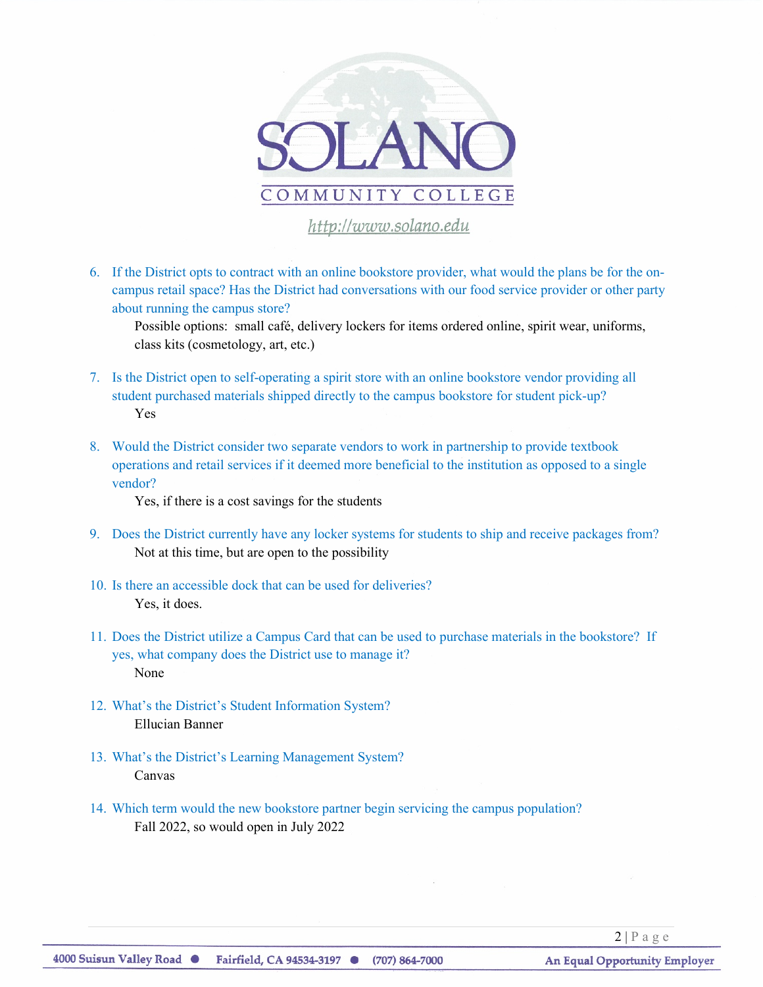

6. If the District opts to contract with an online bookstore provider, what would the plans be for the oncampus retail space? Has the District had conversations with our food service provider or other party about running the campus store?

Possible options: small café, delivery lockers for items ordered online, spirit wear, uniforms, class kits (cosmetology, art, etc.)

- 7. Is the District open to self-operating a spirit store with an online bookstore vendor providing all student purchased materials shipped directly to the campus bookstore for student pick-up? Yes
- 8. Would the District consider two separate vendors to work in partnership to provide textbook operations and retail services if it deemed more beneficial to the institution as opposed to a single vendor?

Yes, if there is a cost savings for the students

- 9. Does the District currently have any locker systems for students to ship and receive packages from? Not at this time, but are open to the possibility
- 10. Is there an accessible dock that can be used for deliveries? Yes, it does.
- 11. Does the District utilize a Campus Card that can be used to purchase materials in the bookstore? If yes, what company does the District use to manage it? None
- 12. What's the District's Student Information System? Ellucian Banner
- 13. What's the District's Learning Management System? Canvas
- 14. Which term would the new bookstore partner begin servicing the campus population? Fall 2022, so would open in July 2022